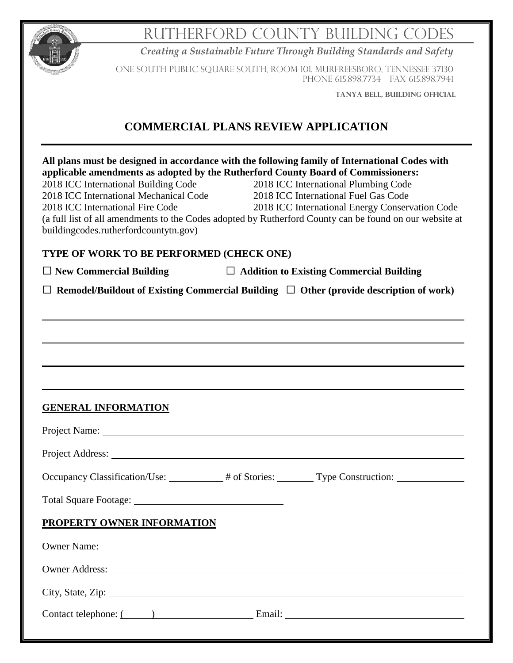|                                                                                                                                                             |                                            | RUTHERFORD COUNTY BUILDING CODES                                                                                                                                                                                                                                                                                                                                                                                                  |
|-------------------------------------------------------------------------------------------------------------------------------------------------------------|--------------------------------------------|-----------------------------------------------------------------------------------------------------------------------------------------------------------------------------------------------------------------------------------------------------------------------------------------------------------------------------------------------------------------------------------------------------------------------------------|
|                                                                                                                                                             |                                            | Creating a Sustainable Future Through Building Standards and Safety                                                                                                                                                                                                                                                                                                                                                               |
|                                                                                                                                                             |                                            | ONE SOUTH PUBLIC SQUARE SOUTH, ROOM 101, MURFREESBORO, TENNESSEE 37130<br>PHONE 615.898.7734 FAX 615.898.7941                                                                                                                                                                                                                                                                                                                     |
|                                                                                                                                                             |                                            | TANYA BELL, BUILDING OFFICIAL                                                                                                                                                                                                                                                                                                                                                                                                     |
|                                                                                                                                                             | <b>COMMERCIAL PLANS REVIEW APPLICATION</b> |                                                                                                                                                                                                                                                                                                                                                                                                                                   |
| 2018 ICC International Building Code<br>2018 ICC International Mechanical Code<br>2018 ICC International Fire Code<br>buildingcodes.rutherfordcountytn.gov) |                                            | All plans must be designed in accordance with the following family of International Codes with<br>applicable amendments as adopted by the Rutherford County Board of Commissioners:<br>2018 ICC International Plumbing Code<br>2018 ICC International Fuel Gas Code<br>2018 ICC International Energy Conservation Code<br>(a full list of all amendments to the Codes adopted by Rutherford County can be found on our website at |
|                                                                                                                                                             | TYPE OF WORK TO BE PERFORMED (CHECK ONE)   |                                                                                                                                                                                                                                                                                                                                                                                                                                   |
| $\Box$ New Commercial Building                                                                                                                              |                                            | $\Box$ Addition to Existing Commercial Building                                                                                                                                                                                                                                                                                                                                                                                   |
|                                                                                                                                                             |                                            |                                                                                                                                                                                                                                                                                                                                                                                                                                   |
|                                                                                                                                                             |                                            |                                                                                                                                                                                                                                                                                                                                                                                                                                   |
|                                                                                                                                                             |                                            |                                                                                                                                                                                                                                                                                                                                                                                                                                   |
| <b>GENERAL INFORMATION</b>                                                                                                                                  |                                            |                                                                                                                                                                                                                                                                                                                                                                                                                                   |
|                                                                                                                                                             |                                            |                                                                                                                                                                                                                                                                                                                                                                                                                                   |
|                                                                                                                                                             |                                            |                                                                                                                                                                                                                                                                                                                                                                                                                                   |
|                                                                                                                                                             |                                            | Occupancy Classification/Use: _________# of Stories: ________Type Construction: ___________________                                                                                                                                                                                                                                                                                                                               |
|                                                                                                                                                             |                                            |                                                                                                                                                                                                                                                                                                                                                                                                                                   |
| PROPERTY OWNER INFORMATION                                                                                                                                  |                                            |                                                                                                                                                                                                                                                                                                                                                                                                                                   |
|                                                                                                                                                             |                                            |                                                                                                                                                                                                                                                                                                                                                                                                                                   |
|                                                                                                                                                             |                                            | Owner Address: New York Changes and School Changes and School Changes and School Changes and School Changes and School Changes and School Changes and School Changes and School Changes and School Changes and School Changes                                                                                                                                                                                                     |
|                                                                                                                                                             |                                            | City, State, Zip:                                                                                                                                                                                                                                                                                                                                                                                                                 |
|                                                                                                                                                             |                                            | Contact telephone: ( ) Email: Email:                                                                                                                                                                                                                                                                                                                                                                                              |
|                                                                                                                                                             |                                            |                                                                                                                                                                                                                                                                                                                                                                                                                                   |